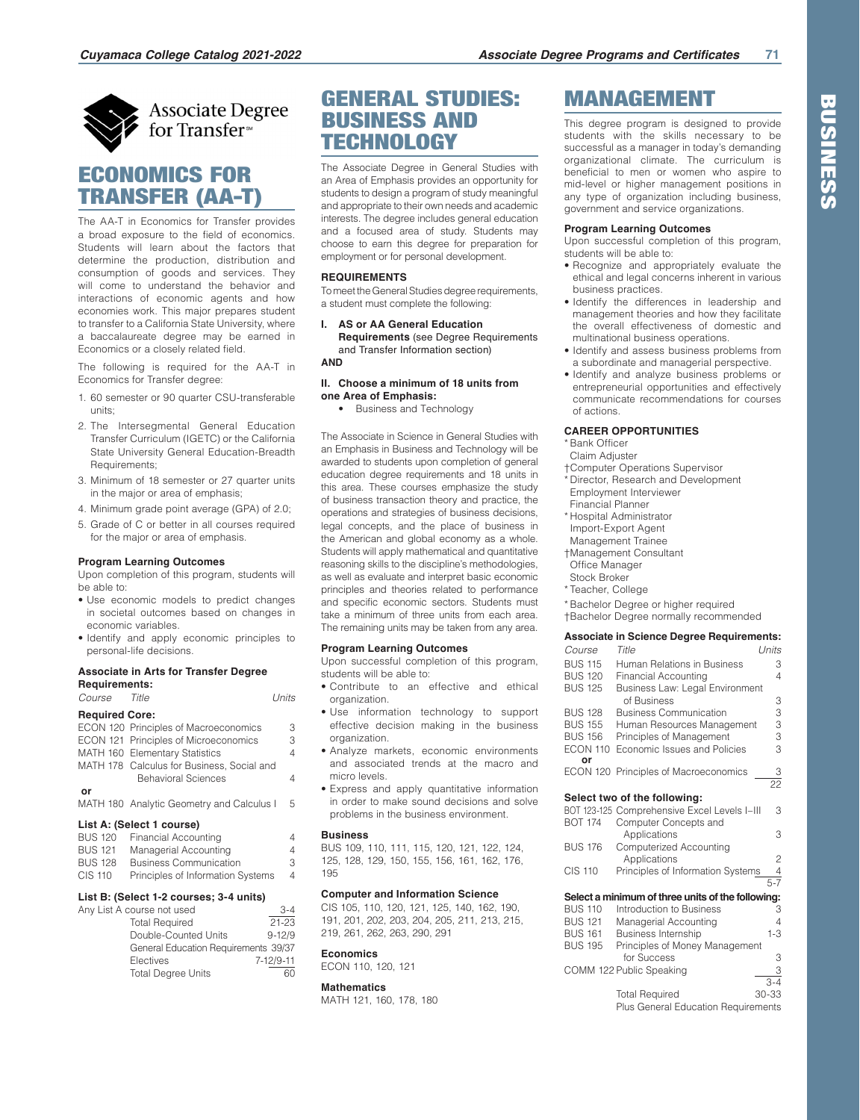

# **Associate Degree** for Transfer<sup>®</sup>

# ECONOMICS FOR TRANSFER (AA-T)

The AA-T in Economics for Transfer provides a broad exposure to the field of economics. Students will learn about the factors that determine the production, distribution and consumption of goods and services. They will come to understand the behavior and interactions of economic agents and how economies work. This major prepares student to transfer to a California State University, where a baccalaureate degree may be earned in Economics or a closely related field.

The following is required for the AA-T in Economics for Transfer degree:

- 1. 60 semester or 90 quarter CSU-transferable units;
- 2. The Intersegmental General Education Transfer Curriculum (IGETC) or the California State University General Education-Breadth Requirements;
- 3. Minimum of 18 semester or 27 quarter units in the major or area of emphasis;
- 4. Minimum grade point average (GPA) of 2.0;
- 5. Grade of C or better in all courses required for the major or area of emphasis.

## **Program Learning Outcomes**

Upon completion of this program, students will be able to:

- Use economic models to predict changes in societal outcomes based on changes in economic variables.
- Identify and apply economic principles to personal-life decisions.

## **Associate in Arts for Transfer Degree**

**Requirements:**

| <i>Course</i>         | Title                                      | l Inits |
|-----------------------|--------------------------------------------|---------|
| <b>Required Core:</b> |                                            |         |
|                       | ECON 120 Principles of Macroeconomics      | 3       |
|                       | ECON 121 Principles of Microeconomics      | 3       |
|                       | MATH 160 Elementary Statistics             | 4       |
|                       | MATH 178 Calculus for Business, Social and |         |
|                       | <b>Behavioral Sciences</b>                 | 4       |
| or                    |                                            |         |
|                       | MATH 180 Analytic Geometry and Calculus I  | 5       |

## **List A: (Select 1 course)**

| <b>BUS 120</b> | Financial Accounting              | 4 |
|----------------|-----------------------------------|---|
| <b>BUS 121</b> | Managerial Accounting             | 4 |
| <b>BUS 128</b> | <b>Business Communication</b>     | З |
| CIS 110        | Principles of Information Systems | 4 |

#### **List B: (Select 1-2 courses; 3-4 units)**

| Any List A course not used           | $3 - 4$    |
|--------------------------------------|------------|
| <b>Total Required</b>                | $21 - 23$  |
| Double-Counted Units                 | $9 - 12/9$ |
| General Education Requirements 39/37 |            |
| Electives                            | 7-12/9-11  |
| <b>Total Degree Units</b>            | 60         |

# GENERAL STUDIES: BUSINESS AND **TECHNOLOGY**

The Associate Degree in General Studies with an Area of Emphasis provides an opportunity for students to design a program of study meaningful and appropriate to their own needs and academic interests. The degree includes general education and a focused area of study. Students may choose to earn this degree for preparation for employment or for personal development.

### **REQUIREMENTS**

To meet the General Studies degree requirements, a student must complete the following:

**I. AS or AA General Education Requirements** (see Degree Requirements and Transfer Information section) **AND**

**II. Choose a minimum of 18 units from one Area of Emphasis:**

• Business and Technology

The Associate in Science in General Studies with an Emphasis in Business and Technology will be awarded to students upon completion of general education degree requirements and 18 units in this area. These courses emphasize the study of business transaction theory and practice, the operations and strategies of business decisions, legal concepts, and the place of business in the American and global economy as a whole. Students will apply mathematical and quantitative reasoning skills to the discipline's methodologies, as well as evaluate and interpret basic economic principles and theories related to performance and specific economic sectors. Students must take a minimum of three units from each area. The remaining units may be taken from any area.

#### **Program Learning Outcomes**

Upon successful completion of this program, students will be able to:

- Contribute to an effective and ethical organization.
- Use information technology to support effective decision making in the business organization.
- Analyze markets, economic environments and associated trends at the macro and micro levels.
- Express and apply quantitative information in order to make sound decisions and solve problems in the business environment.

#### **Business**

BUS 109, 110, 111, 115, 120, 121, 122, 124, 125, 128, 129, 150, 155, 156, 161, 162, 176, 195

#### **Computer and Information Science**

CIS 105, 110, 120, 121, 125, 140, 162, 190, 191, 201, 202, 203, 204, 205, 211, 213, 215, 219, 261, 262, 263, 290, 291

#### **Economics**

ECON 110, 120, 121

## **Mathematics**

MATH 121, 160, 178, 180

# MANAGEMENT

This degree program is designed to provide students with the skills necessary to be successful as a manager in today's demanding organizational climate. The curriculum is beneficial to men or women who aspire to mid-level or higher management positions in any type of organization including business, government and service organizations.

## **Program Learning Outcomes**

Upon successful completion of this program, students will be able to:

- Recognize and appropriately evaluate the ethical and legal concerns inherent in various business practices.
- Identify the differences in leadership and management theories and how they facilitate the overall effectiveness of domestic and multinational business operations.
- Identify and assess business problems from a subordinate and managerial perspective.
- Identify and analyze business problems or entrepreneurial opportunities and effectively communicate recommendations for courses of actions.

## **CAREER OPPORTUNITIES**

\* Bank Officer

- Claim Adjuster
- †Computer Operations Supervisor
- \* Director, Research and Development
- Employment Interviewer
- Financial Planner \* Hospital Administrator
- Import-Export Agent
- Management Trainee
- †Management Consultant
- Office Manager
- Stock Broker
- \* Teacher, College
- \* Bachelor Degree or higher required
- †Bachelor Degree normally recommended

## **Associate in Science Degree Requirements:**

| Course          | Title                                             | Units           |
|-----------------|---------------------------------------------------|-----------------|
| <b>BUS 115</b>  | Human Relations in Business                       | 3               |
| <b>BUS 120</b>  | <b>Financial Accounting</b>                       | 4               |
| <b>BUS 125</b>  | Business Law: Legal Environment                   |                 |
|                 | of Business                                       | 3               |
| <b>BUS 128</b>  | <b>Business Communication</b>                     | 3               |
| <b>BUS 155</b>  | Human Resources Management                        | 3               |
| <b>BUS 156</b>  | Principles of Management                          | 3               |
| <b>ECON 110</b> | Economic Issues and Policies                      | 3               |
| or              |                                                   |                 |
|                 | ECON 120 Principles of Macroeconomics             | З               |
|                 |                                                   | $\overline{22}$ |
|                 | Select two of the following:                      |                 |
|                 | BOT 123-125 Comprehensive Excel Levels I-III      | 3               |
| <b>BOT 174</b>  | Computer Concepts and                             |                 |
|                 | Applications                                      | 3               |
| <b>BUS 176</b>  | Computerized Accounting                           |                 |
|                 | Applications                                      | $\overline{c}$  |
| <b>CIS 110</b>  | Principles of Information Systems                 | $\frac{4}{5-7}$ |
|                 |                                                   |                 |
|                 | Select a minimum of three units of the following: |                 |
| <b>BUS 110</b>  | Introduction to Business                          | 3               |
| <b>BUS 121</b>  | Managerial Accounting                             | 4               |
| <b>BUS 161</b>  | Business Internship                               | $1 - 3$         |
| <b>BUS 195</b>  | Principles of Money Management<br>for Success     | 3               |
|                 | COMM 122 Public Speaking                          | 3               |
|                 |                                                   | $3 - 4$         |
|                 | <b>Total Required</b>                             | 30-33           |
|                 | Plus General Education Requirements               |                 |

**BUSINESS** BUSINESS